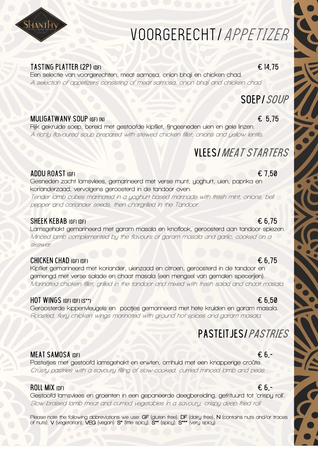# VOORGERECHT/APPETIZER

### TASTING PLATTER (2P) (DF)  $\epsilon$  14,75

SHANTHY

**Een selectie van voorgerechten: meat samosa, onion bhaji en chicken chad. A selection of appetizers consisting of meat samosa, onion bhaji and chicken chad.**

## soep/SOUP

#### MULIGATWANY SOUP (GF) (N)  $\epsilon$  5,75

**Rijk gekruide soep, bereid met gestoofde kipfilet, fijngesneden uien en gele linzen. A richly flavoured soup prepared with stewed chicken fillet, onions and yellow lentils.** 

## vlees/MEAT STARTERS

#### ADDU ROAST (GF)  $\epsilon$  7.50

**Gesneden zacht lamsvlees, gemarineerd met verse munt, yoghurt, uien, paprika en korianderzaad, vervolgens geroosterd in de tandoor-oven.**

**Tender lamb cubes marinated in a yoghurt-based marinade with fresh mint, onions, bell pepper and coriander seeds, then chargrilled in the Tandoor.** 

#### $SHEEK KEBAB (GF) (DF)$   $E 6.75$

**Lamsgehakt gemarineerd met garam masala en knoflook, geroosterd aan tandoor-spiezen. Minced lamb complemented by the flavours of garam masala and garlic, cooked on a skewer**

#### CHICKEN CHAD (GF) (DF)  $6,75$

**Kipfilet gemarineerd met koriander, uienzaad en citroen, geroosterd in de tandoor en gemengd met verse salade en chaat masala (een mengsel van gemalen specerijen). Marinated chicken fillet, grilled in the tandoor and mixed with fresh salad and chaat masala.** 

#### HOT WINGS (GF) (DF) (S\*\*)  $6.50$

**Geroosterde kippenvleugels en -pootjes gemarineerd met hete kruiden en garam masala. Roasted, fiery chicken wings marinated with ground hot spices and garam masala.** 

# PASTEITJES/*PASTRIES*

### MEAT SAMOSA (DF)  $6 -$

**Pasteitjes met gestoofd lamsgehakt en erwten, omhuld met een knapperige croûte. Crusty pastries with a savoury filling of slow-cooked, curried minced lamb and peas.** 

#### ROLL MIX (DF)  $6 -$

**Gestoofd lamsvlees en groenten in een gepaneerde deegbereiding, gefrituurd tot 'crispy roll'. Slow-braised lamb meat and curried vegetables in a savoury, crispy deep-fried roll.**



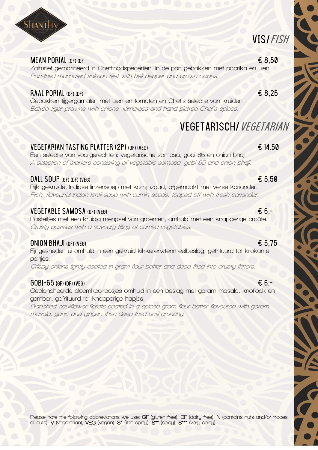

#### MEAN PORIAL (GF) (DF  $\epsilon$  8.50

**Zalmfilet gemarineerd in Chettinadspecerijen, in de pan gebakken met paprika en uien. Pan-fried marinated salmon fillet with bell pepper and brown onions.**

#### RAAL PORIAL (GF) (DF)  $68.25$

**Gebakken tijgergarnalen met uien en tomaten en Chef's selectie van kruiden. Baked tiger prawns with onions, tomatoes and hand-picked Chef's spices.** 

### VEGETARIAN TASTING PLATTER (2P) (DF) (VEG)  $\epsilon$  14,50

**Een selectie van voorgerechten: vegetarische samosa, gobi-65 en onion bhaji. A selection of starters consisting of vegetable samosa, gobi-65 and onion bhaji.** 

#### DALL SOUP (GF) (DF) (VFG)  $65,50$

**Rijk gekruide, Indiase linzensoep met komijnzaad, afgemaakt met verse koriander. Rich, flavourful Indian lentil soup with cumin seeds, topped off with fresh coriander.** 

#### VEGETABLE SAMOSA (DF) (VEG)  $\epsilon$  6,-

**Pasteitjes met een kruidig mengsel van groenten, omhuld met een knapperige croûte. Crusty pastries with a savoury filling of curried vegetables.** 

#### ONION BHAJI (DF) (VEG)  $65.75$

**Fijngesneden ui omhuld in een gekruid kikkererwtenmeelbeslag, gefrituurd tot krokante partjes.** 

**Crispy onions lightly coated in gram flour batter and deep-fried into crusty fritters.**

#### $\overline{60}$ BI-65 (GF) (DF) (VFG)  $\overline{6}$  6,-

**Geblancheerde bloemkoolroosjes omhuld in een beslag met garam masala, knoflook en gember, gefrituurd tot knapperige hapjes.** 

**Blanched cauliflower florets coated in a spiced gram flour batter flavoured with garam masala, garlic and ginger, then deep-fried until crunchy.** 

**Please note the following abbreviations we use: GF (gluten free), DF (dairy free), N (contains nuts and/or traces of nuts), V (vegetarian), VEG (vegan). S\* (little spicy), S\*\* (spicy), S\*\*\* (very spicy).**

VEGETARISCH/Vegetarian

VIS/Fish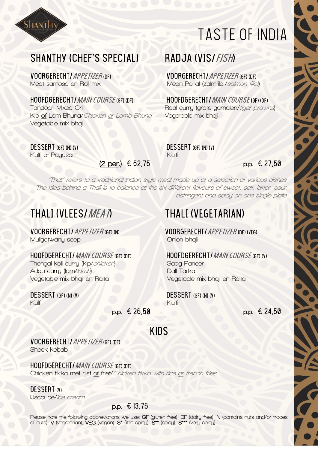

# TASTE of indiA

**.** 

## SHANTHY (CHEF'S SPECIAL) RADJA (VIS/FISH)

**Kip of Lam Bhuna/Chicken or Lamb Bhuna Vegetable mix bhaji Vegetable mix bhaji** 

**Kulfi of Payasam Kulfi**

 **(2 per.)** € 52,75 **p.p.** € 27,50

Voorgerecht/Appetizer (DF) Voorgerecht/Appetizer (GF) (DF) **Meat samosa en Roll mix Mean Porial (zalmfilet/salmon fillet)**

hoofder CHT *I MAIN COURSE* (GF) (DF) Hoofder CHT *I MAIN COURSE* (GF) (DF)<br>Tandoori Mixed Grill and Curru (arote aarnalen/*tiaer praw* **Raal curry (grote garnalen/** tiger prawns)

**DESSERT (GF) (N) (V)**<br>
Kulfi of Pauasam<br>
Kulfi (GF) (N) (V)

**"Thali" refers to a traditional Indian style meal made up of a selection of various dishes. The idea behind a Thali is to balance all the six different flavours of sweet, salt, bitter, sour, astringent and spicy on one single plate.**

## THALI (VLEES/*MEAT*) THALI (VEGETARIAN)

**Muligatwany** soep

### hoofdgerecht/Main course (GF) (DF) hOOFDGERECHT/Main course (GF) (v)

**Thengai koli curry (kip/chicken) Saag Paneer Addu curry (lam/lamb) Dall Tarka Vegetable mix bhaji en Raita Vegetable mix bhaji en Raita**

# **Kulfi Kulfi**

VOORGERECHT/APPETIZER (GF) (N) VOORGERECHT/APPETIZER (DF) (VEG)<br>Muliaatwanu soep

DESSERT (GF) (N) (V) DESSERT (GF) (N) (V)

 **p.p.** € 26,50 **p.p.** € 24,50

#### VOORGERECHT/APPETIZER (GF) (DF)

**Sheek kebab**

#### hoofDgerecht/Main course (GF) (DF)

**Chicken tikka met rijst of friet/Chicken tikka with rice or french fries**

#### DESSERT (V)

**IJscoupe/Ice cream** 

### **p.p.** € 13,75

**Please note the following abbreviations we use: GF (gluten free), DF (dairy free), N (contains nuts and/or traces of nuts), V (vegetarian), VEG (vegan). S\* (little spicy), S\*\* (spicy), S\*\*\* (very spicy).**

Kids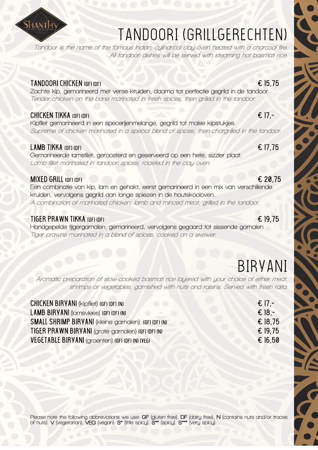

# TANDOORI (Grillgerechten)

**Tandoor is the name of the famous Indian, cylindrical clay-oven heated with a charcoal fire. All tandoori dishes will be served with steaming hot basmati rice.**

### TANDOORI CHICKEN (GF) (DF)  $\epsilon$  15,75

**Zachte kip, gemarineerd met verse kruiden, daarna tot perfectie gegrild in de tandoor. Tender chicken on the bone marinated in fresh spices, then grilled in the tandoor.**

### CHICKEN TIKKA (GF) (DF)  $\epsilon$  17,-

**Kipfilet gemarineerd in een specerijenmelange, gegrild tot malse kipstukjes. Supreme of chicken marinated in a special blend of spices, then chargrilled in the tandoor.**

### LAMB TIKKA (GF) (DF)  $\epsilon$  17,75

**Gemarineerde lamsfilet, geroosterd en geserveerd op een hete, sizzler plaat. Lamb fillet marinated in tandoori spices, roasted in the clay-oven.** 

### MIXED GRILL (GF) (DF)  $620.75$

**Een combinatie van kip, lam en gehakt, eerst gemarineerd in een mix van verschillende kruiden, vervolgens gegrild aan lange spiezen in de houtskooloven. A combination of marinated chicken, lamb and minced meat, grilled in the tandoor.** 

### TIGER PRAWN TIKKA (GF) (DF)  $\epsilon$  19,75

**Handgepelde tijgergarnalen, gemarineerd, vervolgens gegaard tot sissende garnalen. Tiger prawns marinated in a blend of spices, cooked on a skewer.**

# BIRYANI

de de la propieta de la propieta de la propieta de la propieta de la propieta de la propieta de la propieta de<br>La propieta de la propieta de la propieta de la propieta de la propieta de la propieta de la propieta de la pr

**Aromatic preparation of slow-cooked basmati rice layered with your choice of either meat, shrimps or vegetables, garnished with nuts and raisins. Served with fresh raita.**

| CHICKEN BIRYANI (Kipfilet) (GF) (DF) (N)             | $\epsilon$ 17 -  |
|------------------------------------------------------|------------------|
| <b>LAMB BIRYANI</b> (lamsviees) (GF) (DF) (N)        | $\epsilon$ 18 -  |
| SMALL SHRIMP BIRYANI (kleine garnalen) (GF) (DF) (N) | $\epsilon$ 18.75 |
| TIGER PRAWN BIRYANI (grote garnalen) (GF) (DF) (N)   | $\epsilon$ 19.75 |
| VEGETABLE BIRYANI (groenten) (GF) (DF) (N) (VEG)     | $\epsilon$ 16.50 |

- -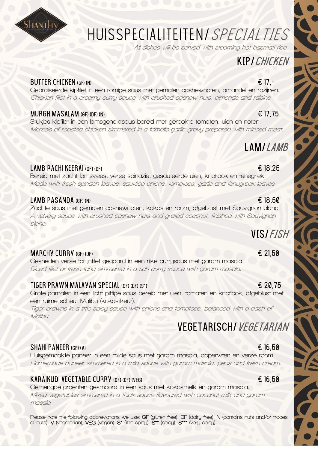

# Huisspecialiteiten/SPECIALTIES

**All dishes will be served with steaming hot basmati rice.**

# KIP*I CHICKEN*

### BUTTER CHICKEN (GF) (N)  $\epsilon$  17,-

**Gebraiseerde kipfilet in een romige saus met gemalen cashewnoten, amandel en rozijnen. Chicken fillet in a creamy curry sauce with crushed cashew nuts, almonds and raisins.**

### MURGH MASALAM (GF) (DF) (N)  $\epsilon$  17,75

**Stukjes kipfilet in een lamsgehaktsaus bereid met gerookte tomaten, uien en noten. Morsels of roasted chicken simmered in a tomato-garlic gravy prepared with minced meat.**

## LAM/*LAMB*

### LAMB RACHI KEERAI (GF) (DF)  $\epsilon$  18,25

**Bereid met zacht lamsvlees, verse spinazie, gesauteerde uien, knoflook en fenegriek. Made with fresh spinach leaves, sautéed onions, tomatoes, garlic and fenugreek leaves.** 

### LAMB PASANDA (GF) (N)  $\epsilon$  18,50

**Zachte saus met gemalen cashewnoten, kokos en room, afgeblust met Sauvignon blanc. A velvety sauce with crushed cashew nuts and grated coconut, finished with Sauvignon blanc.**

### MARCHY CURRY (GF) (DF)  $\epsilon$  21,50

**Gesneden verse tonijnfilet gegaard in een rijke currysaus met garam masala. Diced fillet of fresh tuna simmered in a rich curry sauce with garam masala.**

### TIGER PRAWN MALAYAN SPECIAL (GF) (DF) (S\*)  $\epsilon$  20,75

**Grote garnalen in een licht pittige saus bereid met uien, tomaten en knoflook, afgeblust met een ruime scheut Malibu (kokoslikeur).** 

**Tiger prawns in a little spicy sauce with onions and tomatoes, balanced with a dash of Malibu.**

## VEGETARISCH/VEGETARIAN

### SHAHI PANEER (GF) (V)  $\epsilon$  16.50

**Huisgemaakte paneer in een milde saus met garam masala, doperwten en verse room. Homemade paneer simmered in a mild sauce with garam masala, peas and fresh cream.**

### KARAIKUDI VEGETABLE CURRY (GF) (DF) (VEG)  $\epsilon$  6.50

**Gemengde groenten gesmoord in een saus met kokosmelk en garam masala. Mixed vegetables simmered in a thick sauce flavoured with coconut milk and garam masala.**

**Please note the following abbreviations we use: GF (gluten free), DF (dairy free), N (contains nuts and/or traces of nuts), V (vegetarian), VEG (vegan). S\* (little spicy), S\*\* (spicy), S\*\*\* (very spicy).**

## VIS/FISH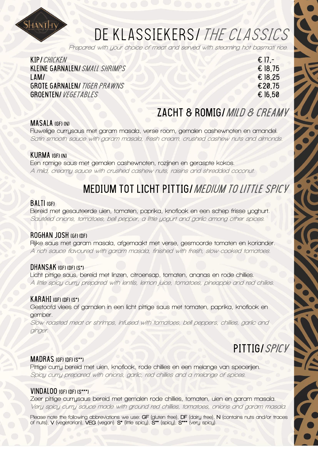

# DE KLASSIEKERS/THE CLASSICS

**Prepared with your choice of meat and served with steaming hot basmati rice.**

| KIP <i>I CHICKEN</i>                | $\epsilon$ 17 - |
|-------------------------------------|-----------------|
| KLEINE GARNALENI SMALL SHRIMPS      | € 18.75         |
| LAM/                                | € 18.25         |
| <b>GROTE GARNALEN/ TIGER PRAWNS</b> | €20.75          |
| GROENTEN/ <i>VEGETABLES</i>         | E16.50          |
|                                     |                 |

## ZACHT & ROMIG/ MILD & CREAMY

#### Masala (GF) (N)

**Fluwelige currysaus met garam masala, verse room, gemalen cashewnoten en amandel. Satin smooth sauce with garam masala, fresh cream, crushed cashew nuts and almonds.** 

#### KURMA (GF) (N)

**Een romige saus met gemalen cashewnoten, rozijnen en geraspte kokos. A mild, creamy sauce with crushed cashew nuts, raisins and shredded coconut.**

# MEDIUM TOT LICHT PITTIG/ MEDIUM TO LITTLE SPICY

#### BALTI (GF)

**Bereid met gesauteerde uien, tomaten, paprika, knoflook en een schep frisse yoghurt. Sautéed onions, tomatoes, bell pepper, a little yogurt and garlic among other spices.**

#### Roghan josh (gf) (DF)

**Rijke saus met garam masala, afgemaakt met verse, gesmoorde tomaten en koriander. A rich sauce flavoured with garam masala, finished with fresh, slow-cooked tomatoes.** 

#### DHANSAK (GF) (DF) (S\*)

**Licht pittige saus, bereid met linzen, citroensap, tomaten, ananas en rode chillies. A little spicy curry prepared with lentils, lemon juice, tomatoes, pineapple and red chilies.** 

#### $KARAHI$  (GF) (DF) (S\*)

**Gestoofd vlees of garnalen in een licht pittige saus met tomaten, paprika, knoflook en gember.**

**Slow-roasted meat or shrimps, infused with tomatoes, bell peppers, chillies, garlic and ginger.**

# PITTIG/Spicy

#### Madras (GF) (DF) (S\*\*)

**Pittige curry bereid met uien, knoflook, rode chillies en een melange van specerijen. Spicy curry prepared with onions, garlic, red chillies and a melange of spices.**

#### $VINDALOO$  (GF) (DF)  $(S***)$

**Zeer pittige currysaus bereid met gemalen rode chillies, tomaten, uien en garam masala. Very spicy curry sauce made with ground red chillies, tomatoes, onions and garam masala.**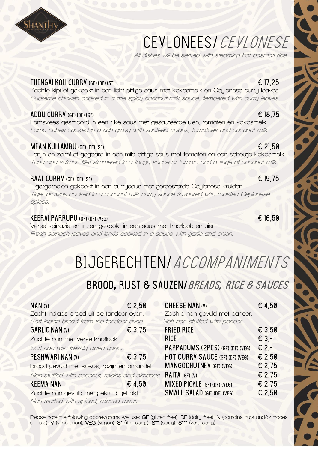# CEYLONEES/CEYLONESE

**All dishes will be served with steaming hot basmati rice.** 

### THENGAI KOLI CURRY (GF) (DF) (S\*)  $\epsilon$  17, 25

**Zachte kipfilet gekookt in een licht pittige saus met kokosmelk en Ceylonese curry leaves. Supreme chicken cooked in a little spicy coconut milk sauce, tempered with curry leaves.** 

### ADDU CURRY (GF) (DF) (S\*)  $\epsilon$  18,75

**Lamsvlees gesmoord in een rijke saus met gesauteerde uien, tomaten en kokosmelk. Lamb cubes cooked in a rich gravy with sautéed onions, tomatoes and coconut milk.** 

### MEAN KULLAMBU (GF) (DF) (S\*)  $\epsilon$  21,50

**Tonijn en zalmfilet gegaard in een mild-pittige saus met tomaten en een scheutje kokosmelk. Tuna and salmon fillet simmered in a tangy sauce of tomato and a tinge of coconut milk.** 

### RAAL CURRY (GF) (DF) (S\*)  $\epsilon$  19,75

**Tijgergarnalen gekookt in een currysaus met geroosterde Ceylonese kruiden. Tiger prawns cooked in a coconut milk curry sauce flavoured with roasted Ceylonese spices.** 

### KEERAI PARRUPU (GF) (DF) (VEG)  $\epsilon$  16,50

**Verse spinazie en linzen gekookt in een saus met knoflook en uien. Fresh spinach leaves and lentils cooked in a sauce with garlic and onion.** 

# BIJGERECHTEN/ACCOMPANIMENTS

# BROOD**,** rijst & sauzen/BreadS*,* RICE & SAUCES

| NAN (V)<br>Zacht Indiaas brood uit de tandoor oven. | $\epsilon$ 2,50 | <b>CHEESE NAN (V)</b><br>Zachte nan gevuld met paneer. | $\epsilon$ 4.50 |
|-----------------------------------------------------|-----------------|--------------------------------------------------------|-----------------|
| Soft Indian bread from the tandoor oven.            |                 | Soft nan stuffed with paneer.                          |                 |
| <b>GARLIC NAN (V)</b>                               | $\epsilon$ 3,75 | <b>FRIED RICE</b>                                      | € 3,50          |
| Zachte nan met verse knoflook.                      |                 | <b>RICE</b>                                            | $E3 -$          |
| Soft nan with freshly diced garlic.                 |                 | PAPPADUMS (2PCS) (GF) (DF) (VEG)                       | € $2 -$         |
| PESHWARINAN (V)                                     | $\epsilon$ 3.75 | <b>HOT CURRY SAUCE (GF) (DF) (VEG)</b>                 | € 2,50          |
| Brood gevuld met kokos, rozijn en amandel.          |                 | <b>MANGOCHUTNEY (GF) (VEG)</b>                         | £2.75           |
| Nan stuffed with coconut, raisins and almonds.      |                 | RAITA (GF) (V)                                         | $\epsilon$ 2.75 |
| <b>KEEMA NAN</b>                                    | $\epsilon$ 4.50 | <b>MIXED PICKLE (GF) (DF) (VEG)</b>                    | € 2.75          |
| Zachte nan gevuld met gekruid gehakt.               |                 | <b>SMALL SALAD (GF) (DF) (VEG)</b>                     | € 2.50          |
| Nan stuffed with spiced, minced meat.               |                 |                                                        |                 |
|                                                     |                 |                                                        |                 |